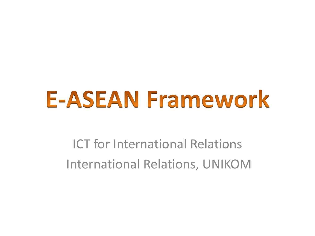# **E-ASEAN Framework**

ICT for International Relations International Relations, UNIKOM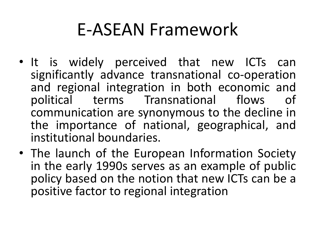## E-ASEAN Framework

- It is widely perceived that new ICTs can significantly advance transnational co-operation and regional integration in both economic and political terms Transnational flows of communication are synonymous to the decline in the importance of national, geographical, and institutional boundaries.
- The launch of the European Information Society in the early 1990s serves as an example of public policy based on the notion that new ICTs can be a positive factor to regional integration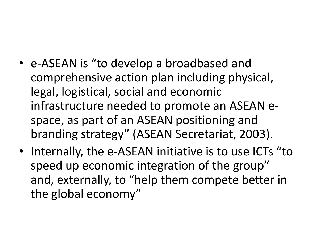- e-ASEAN is "to develop a broadbased and comprehensive action plan including physical, legal, logistical, social and economic infrastructure needed to promote an ASEAN espace, as part of an ASEAN positioning and branding strategy" (ASEAN Secretariat, 2003).
- Internally, the e-ASEAN initiative is to use ICTs "to speed up economic integration of the group" and, externally, to "help them compete better in the global economy"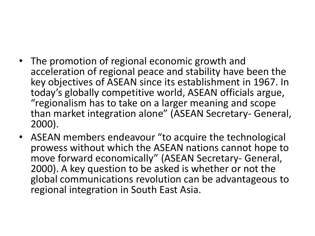- The promotion of regional economic growth and acceleration of regional peace and stability have been the key objectives of ASEAN since its establishment in 1967. In today's globally competitive world, ASEAN officials argue, "regionalism has to take on a larger meaning and scope than market integration alone" (ASEAN Secretary- General, 2000).
- ASEAN members endeavour "to acquire the technological prowess without which the ASEAN nations cannot hope to move forward economically" (ASEAN Secretary- General, 2000). A key question to be asked is whether or not the global communications revolution can be advantageous to regional integration in South East Asia.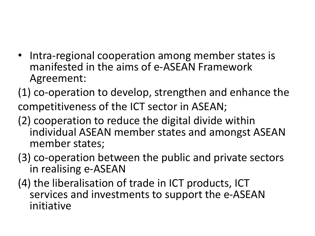- Intra-regional cooperation among member states is manifested in the aims of e-ASEAN Framework Agreement:
- (1) co-operation to develop, strengthen and enhance the competitiveness of the ICT sector in ASEAN;
- (2) cooperation to reduce the digital divide within individual ASEAN member states and amongst ASEAN member states;
- (3) co-operation between the public and private sectors in realising e-ASEAN
- (4) the liberalisation of trade in ICT products, ICT services and investments to support the e-ASEAN initiative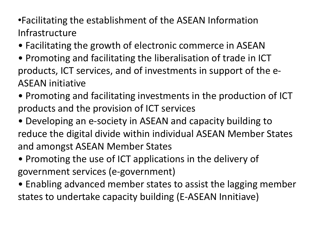•Facilitating the establishment of the ASEAN Information Infrastructure

- Facilitating the growth of electronic commerce in ASEAN
- Promoting and facilitating the liberalisation of trade in ICT products, ICT services, and of investments in support of the e-ASEAN initiative
- Promoting and facilitating investments in the production of ICT products and the provision of ICT services
- Developing an e-society in ASEAN and capacity building to reduce the digital divide within individual ASEAN Member States and amongst ASEAN Member States
- Promoting the use of ICT applications in the delivery of government services (e-government)
- Enabling advanced member states to assist the lagging member states to undertake capacity building (E-ASEAN Innitiave)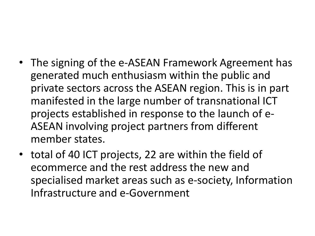- The signing of the e-ASEAN Framework Agreement has generated much enthusiasm within the public and private sectors across the ASEAN region. This is in part manifested in the large number of transnational ICT projects established in response to the launch of e-ASEAN involving project partners from different member states.
- total of 40 ICT projects, 22 are within the field of ecommerce and the rest address the new and specialised market areas such as e-society, Information Infrastructure and e-Government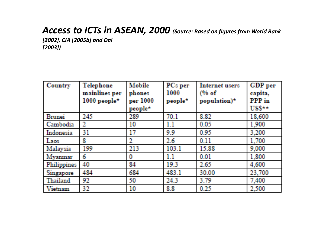#### *Access to ICTs in ASEAN, 2000 (Source: Based on figures from World Bank*

*[2002], CIA [2005b] and Dai [2003])*

| <b>Country</b> | Telephone<br>mainlines per<br>$1000$ people* | <b>Mobile</b><br>phones<br>per 1000<br>people* | PCs per<br>1000<br>people* | <b>Internet users</b><br>$(% \mathcal{L}_{0})$<br>population) $\star$ | <b>GDP</b> per<br>capita,<br><b>PPP</b> in<br>$USS\star\star$ |
|----------------|----------------------------------------------|------------------------------------------------|----------------------------|-----------------------------------------------------------------------|---------------------------------------------------------------|
| <b>Brunei</b>  | 245                                          | 289                                            | 70.1                       | 8.82                                                                  | 18,600                                                        |
| Cambodia       | 2                                            | 10                                             | 1.1                        | 0.05                                                                  | 1,900                                                         |
| Indonesia      | 31                                           | 17                                             | 9.9                        | 0.95                                                                  | 3,200                                                         |
| Laos           | 8                                            | 2                                              | 2.6                        | 0.11                                                                  | 1,700                                                         |
| Malaysia       | 199                                          | 213                                            | 103.1                      | 15.88                                                                 | 9,000                                                         |
| Myanmar        | 6                                            | 0                                              | 1.1                        | 0.01                                                                  | 1,800                                                         |
| Philippines    | 40                                           | 84                                             | 19.3                       | 2.65                                                                  | 4,600                                                         |
| Singapore      | 484                                          | 684                                            | 483.1                      | 30,00                                                                 | 23,700                                                        |
| Thailand       | 92                                           | 50                                             | 24.3                       | 3.79                                                                  | 7,400                                                         |
| Vietnam        | 32                                           | 10                                             | 8.8                        | 0.25                                                                  | 2,500                                                         |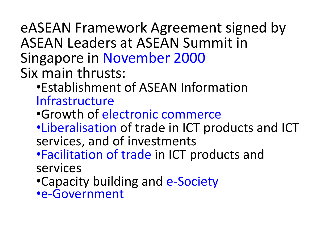## eASEAN Framework Agreement signed by ASEAN Leaders at ASEAN Summit in Singapore in November 2000 Six main thrusts:

### •Establishment of ASEAN Information Infrastructure

- •Growth of electronic commerce
- •Liberalisation of trade in ICT products and ICT services, and of investments
- •Facilitation of trade in ICT products and services
- •Capacity building and e-Society
- •e-Government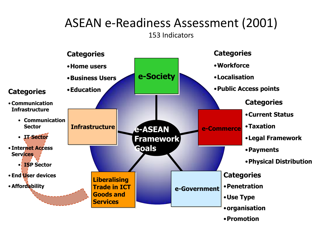#### ASEAN e-Readiness Assessment (2001) 153 Indicators